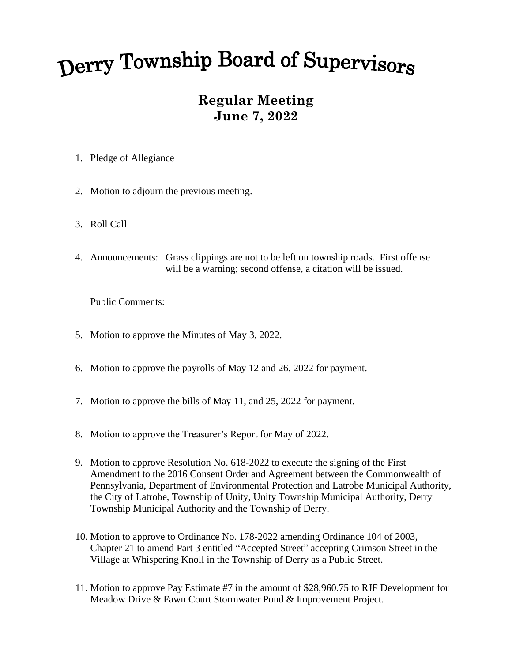## Derry Township Board of Supervisors

## **Regular Meeting June 7, 2022**

- 1. Pledge of Allegiance
- 2. Motion to adjourn the previous meeting.
- 3. Roll Call
- 4. Announcements: Grass clippings are not to be left on township roads. First offense will be a warning; second offense, a citation will be issued.

Public Comments:

- 5. Motion to approve the Minutes of May 3, 2022.
- 6. Motion to approve the payrolls of May 12 and 26, 2022 for payment.
- 7. Motion to approve the bills of May 11, and 25, 2022 for payment.
- 8. Motion to approve the Treasurer's Report for May of 2022.
- 9. Motion to approve Resolution No. 618-2022 to execute the signing of the First Amendment to the 2016 Consent Order and Agreement between the Commonwealth of Pennsylvania, Department of Environmental Protection and Latrobe Municipal Authority, the City of Latrobe, Township of Unity, Unity Township Municipal Authority, Derry Township Municipal Authority and the Township of Derry.
- 10. Motion to approve to Ordinance No. 178-2022 amending Ordinance 104 of 2003, Chapter 21 to amend Part 3 entitled "Accepted Street" accepting Crimson Street in the Village at Whispering Knoll in the Township of Derry as a Public Street.
- 11. Motion to approve Pay Estimate #7 in the amount of \$28,960.75 to RJF Development for Meadow Drive & Fawn Court Stormwater Pond & Improvement Project.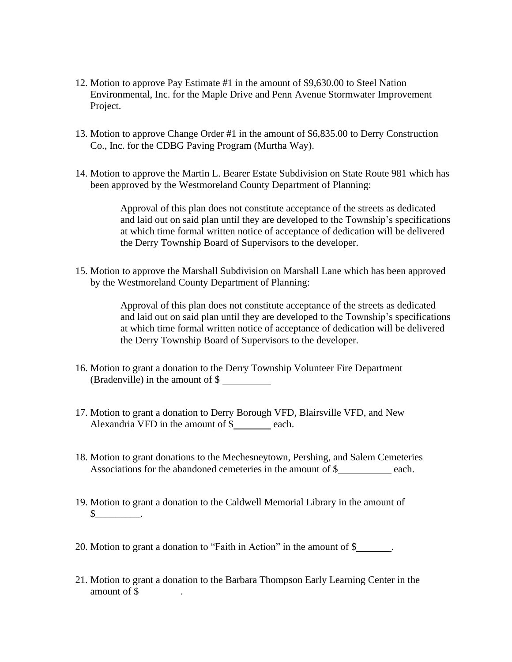- 12. Motion to approve Pay Estimate #1 in the amount of \$9,630.00 to Steel Nation Environmental, Inc. for the Maple Drive and Penn Avenue Stormwater Improvement Project.
- 13. Motion to approve Change Order #1 in the amount of \$6,835.00 to Derry Construction Co., Inc. for the CDBG Paving Program (Murtha Way).
- 14. Motion to approve the Martin L. Bearer Estate Subdivision on State Route 981 which has been approved by the Westmoreland County Department of Planning:

Approval of this plan does not constitute acceptance of the streets as dedicated and laid out on said plan until they are developed to the Township's specifications at which time formal written notice of acceptance of dedication will be delivered the Derry Township Board of Supervisors to the developer.

15. Motion to approve the Marshall Subdivision on Marshall Lane which has been approved by the Westmoreland County Department of Planning:

> Approval of this plan does not constitute acceptance of the streets as dedicated and laid out on said plan until they are developed to the Township's specifications at which time formal written notice of acceptance of dedication will be delivered the Derry Township Board of Supervisors to the developer.

- 16. Motion to grant a donation to the Derry Township Volunteer Fire Department (Bradenville) in the amount of \$
- 17. Motion to grant a donation to Derry Borough VFD, Blairsville VFD, and New Alexandria VFD in the amount of \$ each.
- 18. Motion to grant donations to the Mechesneytown, Pershing, and Salem Cemeteries Associations for the abandoned cemeteries in the amount of \$ each.
- 19. Motion to grant a donation to the Caldwell Memorial Library in the amount of  $\frac{\S_{\_}^{\_} \cdots \_S_{\_}^{\_}}{\S_{\_}^{\_}}$ .
- 20. Motion to grant a donation to "Faith in Action" in the amount of \$ .
- 21. Motion to grant a donation to the Barbara Thompson Early Learning Center in the amount of \$ .